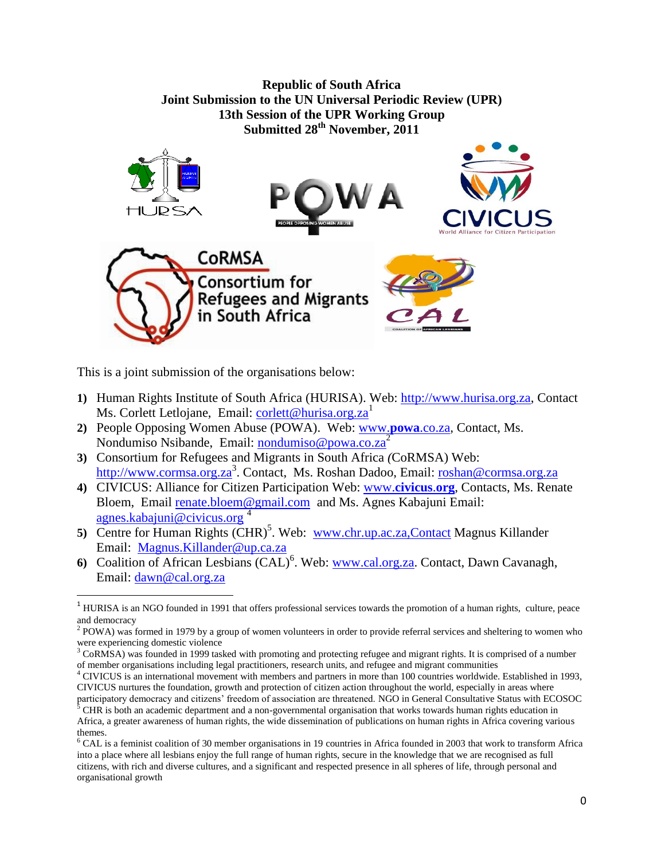

This is a joint submission of the organisations below:

 $\overline{\phantom{a}}$ 

- **1)** Human Rights Institute of South Africa (HURISA). Web: [http://www.hurisa.org.za,](http://www.hurisa.org.za/) Contact Ms. Corlett Letlojane, Email: [corlett@hurisa.org.za](mailto:corlett@hurisa.org.za)<sup>1</sup>
- **2)** People Opposing Women Abuse (POWA). Web: [www.](http://www.powa.co.za/)**powa**.co.za*,* Contact, Ms. Nondumiso Nsibande, Email: [nondumiso@powa.co.za](mailto:nondumiso@powa.co.za)<sup>2</sup>
- **3)** Consortium for Refugees and Migrants in South Africa *(*CoRMSA) Web: [http://www.cormsa.org.za](http://www.cormsa.org.za/)<sup>3</sup>. Contact, Ms. Roshan Dadoo, Email: [roshan@cormsa.org.za](mailto:roshan@cormsa.org.za)
- **4)** CIVICUS: Alliance for Citizen Participation Web: www.**[civicus](http://www.civicus.org/)**.**org**, Contacts, Ms. Renate Bloem, Email [renate.bloem@gmail.com](mailto:renate.bloem@gmail.com) and Ms. Agnes Kabajuni Email: [agnes.kabajuni@civicus.org](mailto:agnes.kabajuni@civicus.org) $4$
- 5) Centre for Human Rights (CHR)<sup>5</sup>. Web: [www.chr.up.ac.za,Contact](http://www.chr.up.ac.za,contact/) Magnus Killander Email: [Magnus.Killander@up.ca.za](mailto:Magnus.Killander@up.ca.za)
- 6) Coalition of African Lesbians (CAL)<sup>6</sup>. Web: [www.cal.org.za.](http://www.cal.org.za/) Contact, Dawn Cavanagh, Email: [dawn@cal.org.za](mailto:dawn@cal.org.za)

<sup>1</sup> HURISA is an NGO founded in 1991 that offers professional services towards the promotion of a human rights, culture, peace and democracy

<sup>&</sup>lt;sup>2</sup> POWA) was formed in 1979 by a group of women volunteers in order to provide referral services and sheltering to women who were experiencing domestic violence

 $3$  CoRMSA) was founded in 1999 tasked with promoting and protecting refugee and migrant rights. It is comprised of a number of member organisations including legal practitioners, research units, and refugee and migrant communities

<sup>4</sup> CIVICUS is an international movement with members and partners in more than 100 countries worldwide. Established in 1993, CIVICUS nurtures the foundation, growth and protection of citizen action throughout the world, especially in areas where participatory democracy and citizens" freedom of association are threatened. NGO in General Consultative Status with ECOSOC

<sup>5</sup> CHR is both an academic department and a non-governmental organisation that works towards human rights education in Africa, a greater awareness of human rights, the wide dissemination of publications on human rights in Africa covering various themes.

 $6$  CAL is a feminist coalition of 30 member organisations in 19 countries in Africa founded in 2003 that work to transform Africa into a place where all lesbians enjoy the full range of human rights, secure in the knowledge that we are recognised as full citizens, with rich and diverse cultures, and a significant and respected presence in all spheres of life, through personal and organisational growth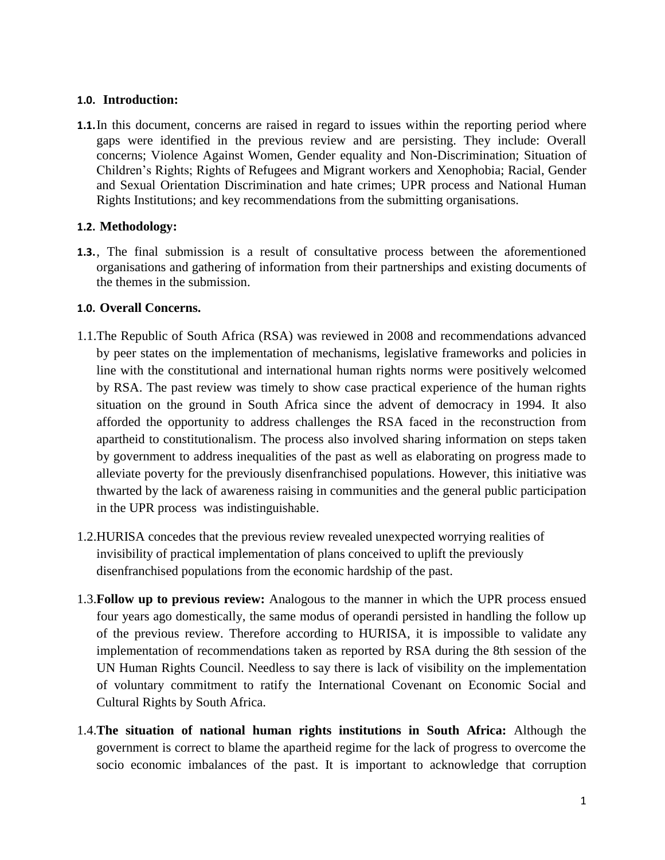## **1.0. Introduction:**

**1.1.**In this document, concerns are raised in regard to issues within the reporting period where gaps were identified in the previous review and are persisting. They include: Overall concerns; Violence Against Women, Gender equality and Non-Discrimination; Situation of Children"s Rights; Rights of Refugees and Migrant workers and Xenophobia; Racial, Gender and Sexual Orientation Discrimination and hate crimes; UPR process and National Human Rights Institutions; and key recommendations from the submitting organisations.

# **1.2. Methodology:**

**1.3.**, The final submission is a result of consultative process between the aforementioned organisations and gathering of information from their partnerships and existing documents of the themes in the submission.

## **1.0. Overall Concerns.**

- 1.1.The Republic of South Africa (RSA) was reviewed in 2008 and recommendations advanced by peer states on the implementation of mechanisms, legislative frameworks and policies in line with the constitutional and international human rights norms were positively welcomed by RSA. The past review was timely to show case practical experience of the human rights situation on the ground in South Africa since the advent of democracy in 1994. It also afforded the opportunity to address challenges the RSA faced in the reconstruction from apartheid to constitutionalism. The process also involved sharing information on steps taken by government to address inequalities of the past as well as elaborating on progress made to alleviate poverty for the previously disenfranchised populations. However, this initiative was thwarted by the lack of awareness raising in communities and the general public participation in the UPR process was indistinguishable.
- 1.2.HURISA concedes that the previous review revealed unexpected worrying realities of invisibility of practical implementation of plans conceived to uplift the previously disenfranchised populations from the economic hardship of the past.
- 1.3.**Follow up to previous review:** Analogous to the manner in which the UPR process ensued four years ago domestically, the same modus of operandi persisted in handling the follow up of the previous review. Therefore according to HURISA, it is impossible to validate any implementation of recommendations taken as reported by RSA during the 8th session of the UN Human Rights Council. Needless to say there is lack of visibility on the implementation of voluntary commitment to ratify the International Covenant on Economic Social and Cultural Rights by South Africa.
- 1.4.**The situation of national human rights institutions in South Africa:** Although the government is correct to blame the apartheid regime for the lack of progress to overcome the socio economic imbalances of the past. It is important to acknowledge that corruption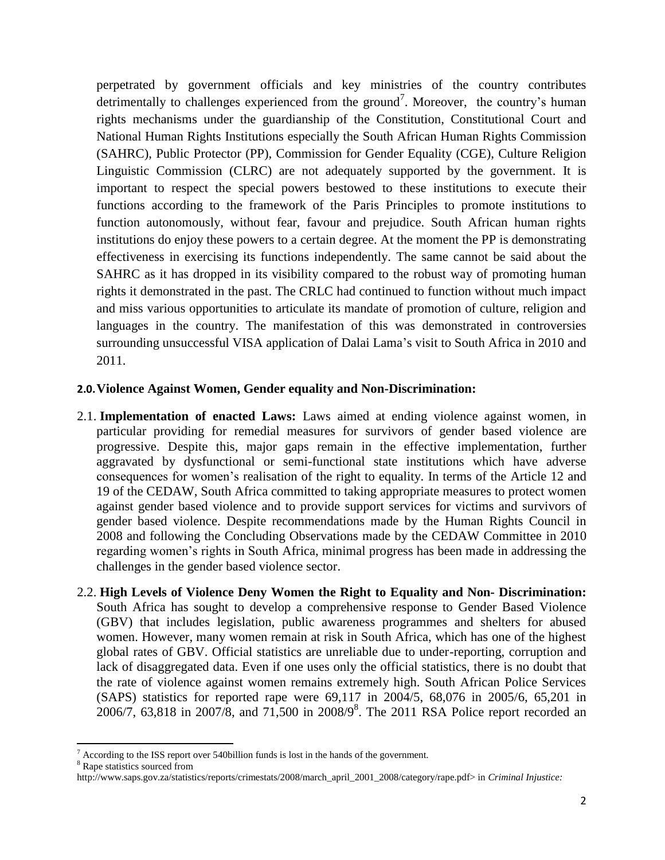perpetrated by government officials and key ministries of the country contributes detrimentally to challenges experienced from the ground<sup>7</sup>. Moreover, the country's human rights mechanisms under the guardianship of the Constitution, Constitutional Court and National Human Rights Institutions especially the South African Human Rights Commission (SAHRC), Public Protector (PP), Commission for Gender Equality (CGE), Culture Religion Linguistic Commission (CLRC) are not adequately supported by the government. It is important to respect the special powers bestowed to these institutions to execute their functions according to the framework of the Paris Principles to promote institutions to function autonomously, without fear, favour and prejudice. South African human rights institutions do enjoy these powers to a certain degree. At the moment the PP is demonstrating effectiveness in exercising its functions independently. The same cannot be said about the SAHRC as it has dropped in its visibility compared to the robust way of promoting human rights it demonstrated in the past. The CRLC had continued to function without much impact and miss various opportunities to articulate its mandate of promotion of culture, religion and languages in the country. The manifestation of this was demonstrated in controversies surrounding unsuccessful VISA application of Dalai Lama"s visit to South Africa in 2010 and 2011.

# **2.0.Violence Against Women, Gender equality and Non-Discrimination:**

- 2.1. **Implementation of enacted Laws:** Laws aimed at ending violence against women, in particular providing for remedial measures for survivors of gender based violence are progressive. Despite this, major gaps remain in the effective implementation, further aggravated by dysfunctional or semi-functional state institutions which have adverse consequences for women"s realisation of the right to equality. In terms of the Article 12 and 19 of the CEDAW, South Africa committed to taking appropriate measures to protect women against gender based violence and to provide support services for victims and survivors of gender based violence. Despite recommendations made by the Human Rights Council in 2008 and following the Concluding Observations made by the CEDAW Committee in 2010 regarding women"s rights in South Africa, minimal progress has been made in addressing the challenges in the gender based violence sector.
- 2.2. **High Levels of Violence Deny Women the Right to Equality and Non- Discrimination:** South Africa has sought to develop a comprehensive response to Gender Based Violence (GBV) that includes legislation, public awareness programmes and shelters for abused women. However, many women remain at risk in South Africa, which has one of the highest global rates of GBV. Official statistics are unreliable due to under-reporting, corruption and lack of disaggregated data. Even if one uses only the official statistics, there is no doubt that the rate of violence against women remains extremely high. South African Police Services (SAPS) statistics for reported rape were 69,117 in 2004/5, 68,076 in 2005/6, 65,201 in 2006/7, 63,818 in 2007/8, and 71,500 in 2008/9<sup>8</sup>. The 2011 RSA Police report recorded an

<sup>8</sup> Rape statistics sourced from

 $\overline{\phantom{a}}$  $7$  According to the ISS report over 540 billion funds is lost in the hands of the government.

http://www.saps.gov.za/statistics/reports/crimestats/2008/march\_april\_2001\_2008/category/rape.pdf> in *Criminal Injustice:*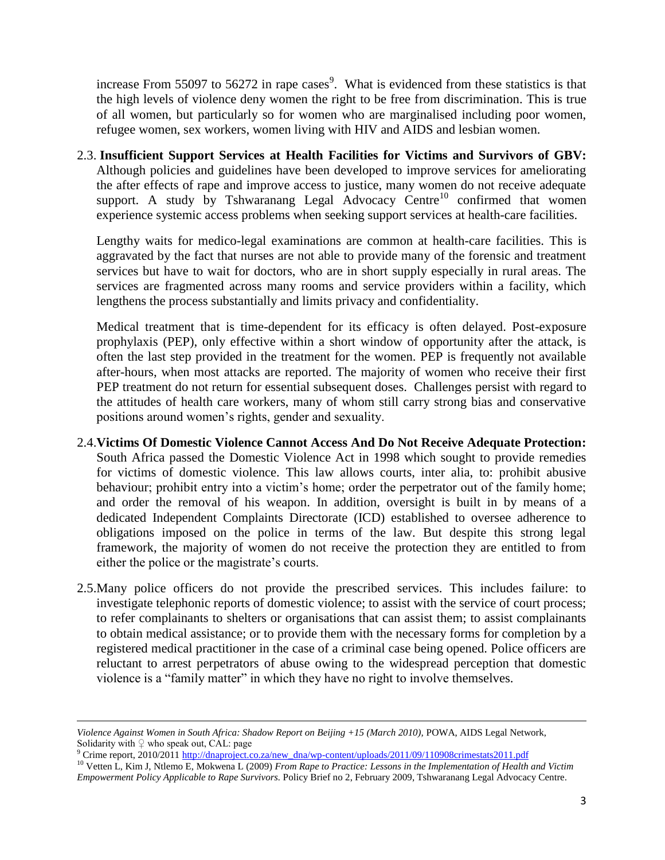increase From 55097 to 56272 in rape cases<sup>9</sup>. What is evidenced from these statistics is that the high levels of violence deny women the right to be free from discrimination. This is true of all women, but particularly so for women who are marginalised including poor women, refugee women, sex workers, women living with HIV and AIDS and lesbian women.

2.3. **Insufficient Support Services at Health Facilities for Victims and Survivors of GBV:** Although policies and guidelines have been developed to improve services for ameliorating the after effects of rape and improve access to justice, many women do not receive adequate support. A study by Tshwaranang Legal Advocacy Centre<sup>10</sup> confirmed that women experience systemic access problems when seeking support services at health-care facilities.

Lengthy waits for medico-legal examinations are common at health-care facilities. This is aggravated by the fact that nurses are not able to provide many of the forensic and treatment services but have to wait for doctors, who are in short supply especially in rural areas. The services are fragmented across many rooms and service providers within a facility, which lengthens the process substantially and limits privacy and confidentiality.

Medical treatment that is time-dependent for its efficacy is often delayed. Post-exposure prophylaxis (PEP), only effective within a short window of opportunity after the attack, is often the last step provided in the treatment for the women. PEP is frequently not available after-hours, when most attacks are reported. The majority of women who receive their first PEP treatment do not return for essential subsequent doses. Challenges persist with regard to the attitudes of health care workers, many of whom still carry strong bias and conservative positions around women"s rights, gender and sexuality.

- 2.4.**Victims Of Domestic Violence Cannot Access And Do Not Receive Adequate Protection:** South Africa passed the Domestic Violence Act in 1998 which sought to provide remedies for victims of domestic violence. This law allows courts, inter alia, to: prohibit abusive behaviour; prohibit entry into a victim's home; order the perpetrator out of the family home; and order the removal of his weapon. In addition, oversight is built in by means of a dedicated Independent Complaints Directorate (ICD) established to oversee adherence to obligations imposed on the police in terms of the law. But despite this strong legal framework, the majority of women do not receive the protection they are entitled to from either the police or the magistrate's courts.
- 2.5.Many police officers do not provide the prescribed services. This includes failure: to investigate telephonic reports of domestic violence; to assist with the service of court process; to refer complainants to shelters or organisations that can assist them; to assist complainants to obtain medical assistance; or to provide them with the necessary forms for completion by a registered medical practitioner in the case of a criminal case being opened. Police officers are reluctant to arrest perpetrators of abuse owing to the widespread perception that domestic violence is a "family matter" in which they have no right to involve themselves.

l

*Violence Against Women in South Africa: Shadow Report on Beijing +15 (March 2010),* POWA, AIDS Legal Network, Solidarity with  $\varphi$  who speak out, CAL: page

<sup>&</sup>lt;sup>9</sup> Crime report, 2010/201[1 http://dnaproject.co.za/new\\_dna/wp-content/uploads/2011/09/110908crimestats2011.pdf](http://dnaproject.co.za/new_dna/wp-content/uploads/2011/09/110908crimestats2011.pdf)

<sup>10</sup> Vetten L, Kim J, Ntlemo E, Mokwena L (2009) *From Rape to Practice: Lessons in the Implementation of Health and Victim Empowerment Policy Applicable to Rape Survivors.* Policy Brief no 2, February 2009, Tshwaranang Legal Advocacy Centre.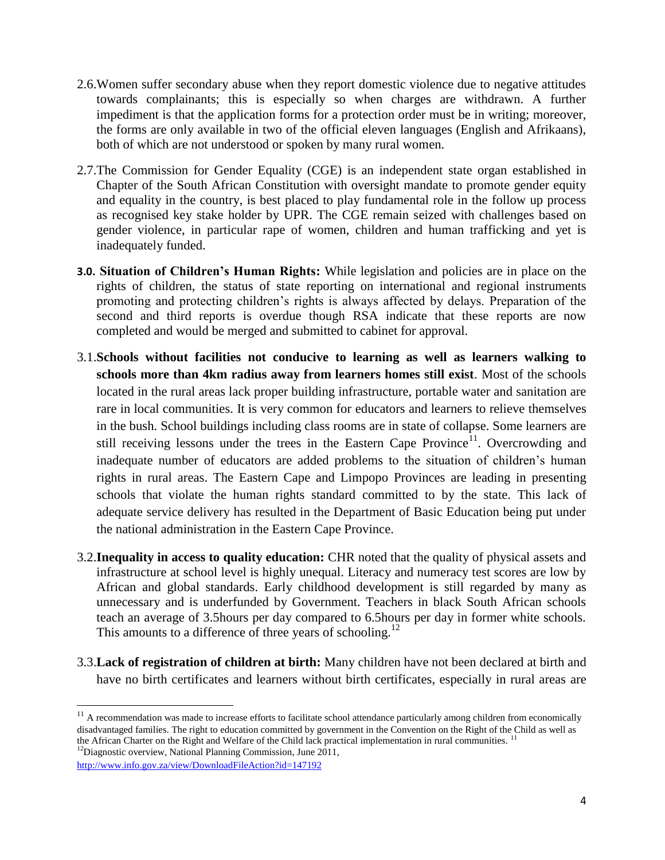- 2.6.Women suffer secondary abuse when they report domestic violence due to negative attitudes towards complainants; this is especially so when charges are withdrawn. A further impediment is that the application forms for a protection order must be in writing; moreover, the forms are only available in two of the official eleven languages (English and Afrikaans), both of which are not understood or spoken by many rural women.
- 2.7.The Commission for Gender Equality (CGE) is an independent state organ established in Chapter of the South African Constitution with oversight mandate to promote gender equity and equality in the country, is best placed to play fundamental role in the follow up process as recognised key stake holder by UPR. The CGE remain seized with challenges based on gender violence, in particular rape of women, children and human trafficking and yet is inadequately funded.
- **3.0. Situation of Children's Human Rights:** While legislation and policies are in place on the rights of children, the status of state reporting on international and regional instruments promoting and protecting children"s rights is always affected by delays. Preparation of the second and third reports is overdue though RSA indicate that these reports are now completed and would be merged and submitted to cabinet for approval.
- 3.1.**Schools without facilities not conducive to learning as well as learners walking to schools more than 4km radius away from learners homes still exist**. Most of the schools located in the rural areas lack proper building infrastructure, portable water and sanitation are rare in local communities. It is very common for educators and learners to relieve themselves in the bush. School buildings including class rooms are in state of collapse. Some learners are still receiving lessons under the trees in the Eastern Cape Province<sup>11</sup>. Overcrowding and inadequate number of educators are added problems to the situation of children"s human rights in rural areas. The Eastern Cape and Limpopo Provinces are leading in presenting schools that violate the human rights standard committed to by the state. This lack of adequate service delivery has resulted in the Department of Basic Education being put under the national administration in the Eastern Cape Province.
- 3.2.**Inequality in access to quality education:** CHR noted that the quality of physical assets and infrastructure at school level is highly unequal. Literacy and numeracy test scores are low by African and global standards. Early childhood development is still regarded by many as unnecessary and is underfunded by Government. Teachers in black South African schools teach an average of 3.5hours per day compared to 6.5hours per day in former white schools. This amounts to a difference of three years of schooling.<sup>12</sup>
- 3.3.**Lack of registration of children at birth:** Many children have not been declared at birth and have no birth certificates and learners without birth certificates, especially in rural areas are

 $\overline{a}$ 

 $11$  A recommendation was made to increase efforts to facilitate school attendance particularly among children from economically disadvantaged families. The right to education committed by government in the Convention on the Right of the Child as well as the African Charter on the Right and Welfare of the Child lack practical implementation in rural communities.  $12$ Diagnostic overview, National Planning Commission, June 2011,

<http://www.info.gov.za/view/DownloadFileAction?id=147192>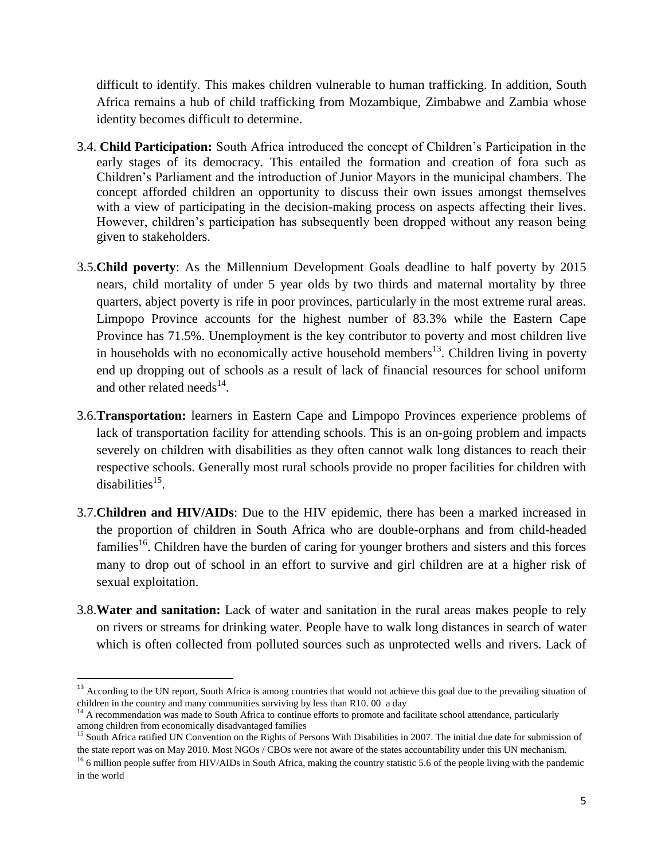difficult to identify. This makes children vulnerable to human trafficking. In addition, South Africa remains a hub of child trafficking from Mozambique, Zimbabwe and Zambia whose identity becomes difficult to determine.

- 3.4. **Child Participation:** South Africa introduced the concept of Children"s Participation in the early stages of its democracy. This entailed the formation and creation of fora such as Children"s Parliament and the introduction of Junior Mayors in the municipal chambers. The concept afforded children an opportunity to discuss their own issues amongst themselves with a view of participating in the decision-making process on aspects affecting their lives. However, children"s participation has subsequently been dropped without any reason being given to stakeholders.
- 3.5.**Child poverty**: As the Millennium Development Goals deadline to half poverty by 2015 nears, child mortality of under 5 year olds by two thirds and maternal mortality by three quarters, abject poverty is rife in poor provinces, particularly in the most extreme rural areas. Limpopo Province accounts for the highest number of 83.3% while the Eastern Cape Province has 71.5%. Unemployment is the key contributor to poverty and most children live in households with no economically active household members<sup>13</sup>. Children living in poverty end up dropping out of schools as a result of lack of financial resources for school uniform and other related needs<sup>14</sup>.
- 3.6.**Transportation:** learners in Eastern Cape and Limpopo Provinces experience problems of lack of transportation facility for attending schools. This is an on-going problem and impacts severely on children with disabilities as they often cannot walk long distances to reach their respective schools. Generally most rural schools provide no proper facilities for children with disabilities<sup>15</sup>.
- 3.7.**Children and HIV/AIDs**: Due to the HIV epidemic, there has been a marked increased in the proportion of children in South Africa who are double-orphans and from child-headed families<sup>16</sup>. Children have the burden of caring for younger brothers and sisters and this forces many to drop out of school in an effort to survive and girl children are at a higher risk of sexual exploitation.
- 3.8.**Water and sanitation:** Lack of water and sanitation in the rural areas makes people to rely on rivers or streams for drinking water. People have to walk long distances in search of water which is often collected from polluted sources such as unprotected wells and rivers. Lack of

 $\overline{\phantom{a}}$ 

<sup>&</sup>lt;sup>13</sup> According to the UN report, South Africa is among countries that would not achieve this goal due to the prevailing situation of children in the country and many communities surviving by less than R10. 00 a day

 $14$  A recommendation was made to South Africa to continue efforts to promote and facilitate school attendance, particularly among children from economically disadvantaged families

<sup>&</sup>lt;sup>15</sup> South Africa ratified UN Convention on the Rights of Persons With Disabilities in 2007. The initial due date for submission of the state report was on May 2010. Most NGOs / CBOs were not aware of the states accountability under this UN mechanism.

 $^{16}$  6 million people suffer from HIV/AIDs in South Africa, making the country statistic 5.6 of the people living with the pandemic in the world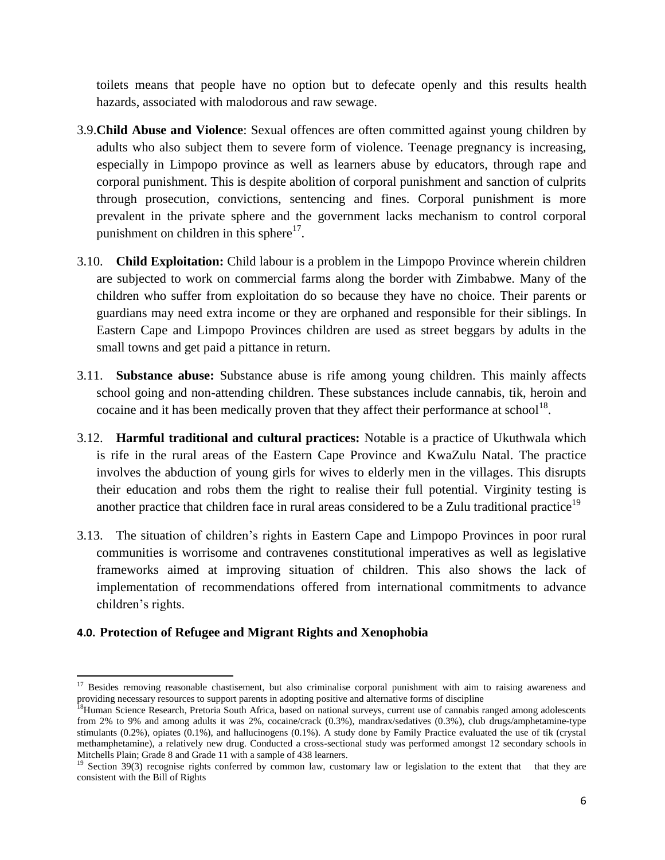toilets means that people have no option but to defecate openly and this results health hazards, associated with malodorous and raw sewage.

- 3.9.**Child Abuse and Violence**: Sexual offences are often committed against young children by adults who also subject them to severe form of violence. Teenage pregnancy is increasing, especially in Limpopo province as well as learners abuse by educators, through rape and corporal punishment. This is despite abolition of corporal punishment and sanction of culprits through prosecution, convictions, sentencing and fines. Corporal punishment is more prevalent in the private sphere and the government lacks mechanism to control corporal punishment on children in this sphere $17$ .
- 3.10. **Child Exploitation:** Child labour is a problem in the Limpopo Province wherein children are subjected to work on commercial farms along the border with Zimbabwe. Many of the children who suffer from exploitation do so because they have no choice. Their parents or guardians may need extra income or they are orphaned and responsible for their siblings. In Eastern Cape and Limpopo Provinces children are used as street beggars by adults in the small towns and get paid a pittance in return.
- 3.11. **Substance abuse:** Substance abuse is rife among young children. This mainly affects school going and non-attending children. These substances include cannabis, tik, heroin and cocaine and it has been medically proven that they affect their performance at school<sup>18</sup>.
- 3.12. **Harmful traditional and cultural practices:** Notable is a practice of Ukuthwala which is rife in the rural areas of the Eastern Cape Province and KwaZulu Natal. The practice involves the abduction of young girls for wives to elderly men in the villages. This disrupts their education and robs them the right to realise their full potential. Virginity testing is another practice that children face in rural areas considered to be a Zulu traditional practice<sup>19</sup>
- 3.13. The situation of children"s rights in Eastern Cape and Limpopo Provinces in poor rural communities is worrisome and contravenes constitutional imperatives as well as legislative frameworks aimed at improving situation of children. This also shows the lack of implementation of recommendations offered from international commitments to advance children"s rights.

# **4.0. Protection of Refugee and Migrant Rights and Xenophobia**

 $\overline{\phantom{a}}$  $17$  Besides removing reasonable chastisement, but also criminalise corporal punishment with aim to raising awareness and providing necessary resources to support parents in adopting positive and alternative forms of discipline

<sup>&</sup>lt;sup>18</sup>Human Science Research, Pretoria South Africa, based on national surveys, current use of cannabis ranged among adolescents from 2% to 9% and among adults it was 2%, cocaine/crack (0.3%), mandrax/sedatives (0.3%), club drugs/amphetamine-type stimulants (0.2%), opiates (0.1%), and hallucinogens (0.1%). A study done by Family Practice evaluated the use of tik (crystal methamphetamine), a relatively new drug. Conducted a cross-sectional study was performed amongst 12 secondary schools in Mitchells Plain; Grade 8 and Grade 11 with a sample of 438 learners.

 $19$  Section 39(3) recognise rights conferred by common law, customary law or legislation to the extent that that they are consistent with the Bill of Rights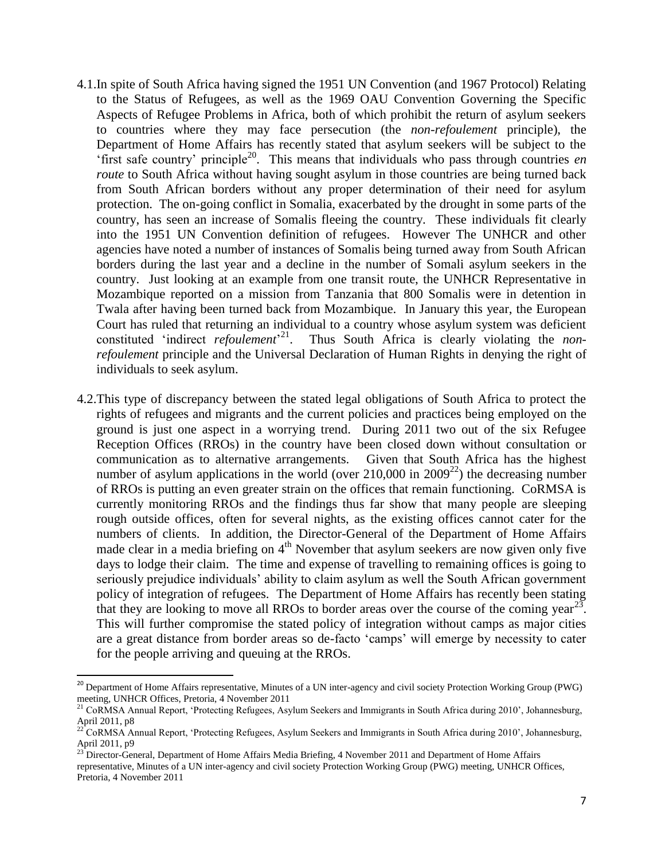- 4.1.In spite of South Africa having signed the 1951 UN Convention (and 1967 Protocol) Relating to the Status of Refugees, as well as the 1969 OAU Convention Governing the Specific Aspects of Refugee Problems in Africa, both of which prohibit the return of asylum seekers to countries where they may face persecution (the *non-refoulement* principle), the Department of Home Affairs has recently stated that asylum seekers will be subject to the "first safe country" principle<sup>20</sup>. This means that individuals who pass through countries *en route* to South Africa without having sought asylum in those countries are being turned back from South African borders without any proper determination of their need for asylum protection. The on-going conflict in Somalia, exacerbated by the drought in some parts of the country, has seen an increase of Somalis fleeing the country. These individuals fit clearly into the 1951 UN Convention definition of refugees. However The UNHCR and other agencies have noted a number of instances of Somalis being turned away from South African borders during the last year and a decline in the number of Somali asylum seekers in the country. Just looking at an example from one transit route, the UNHCR Representative in Mozambique reported on a mission from Tanzania that 800 Somalis were in detention in Twala after having been turned back from Mozambique. In January this year, the European Court has ruled that returning an individual to a country whose asylum system was deficient constituted 'indirect *refoulement*<sup>21</sup>. Thus South Africa is clearly violating the *nonrefoulement* principle and the Universal Declaration of Human Rights in denying the right of individuals to seek asylum.
- 4.2.This type of discrepancy between the stated legal obligations of South Africa to protect the rights of refugees and migrants and the current policies and practices being employed on the ground is just one aspect in a worrying trend. During 2011 two out of the six Refugee Reception Offices (RROs) in the country have been closed down without consultation or communication as to alternative arrangements. Given that South Africa has the highest number of asylum applications in the world (over  $210,000$  in  $2009^{22}$ ) the decreasing number of RROs is putting an even greater strain on the offices that remain functioning. CoRMSA is currently monitoring RROs and the findings thus far show that many people are sleeping rough outside offices, often for several nights, as the existing offices cannot cater for the numbers of clients. In addition, the Director-General of the Department of Home Affairs made clear in a media briefing on  $4<sup>th</sup>$  November that asylum seekers are now given only five days to lodge their claim. The time and expense of travelling to remaining offices is going to seriously prejudice individuals' ability to claim asylum as well the South African government policy of integration of refugees. The Department of Home Affairs has recently been stating that they are looking to move all RROs to border areas over the course of the coming year<sup>23</sup>. This will further compromise the stated policy of integration without camps as major cities are a great distance from border areas so de-facto "camps" will emerge by necessity to cater for the people arriving and queuing at the RROs.

l

<sup>&</sup>lt;sup>20</sup> Department of Home Affairs representative, Minutes of a UN inter-agency and civil society Protection Working Group (PWG) meeting, UNHCR Offices, Pretoria, 4 November 2011

<sup>&</sup>lt;sup>21</sup> CoRMSA Annual Report, 'Protecting Refugees, Asylum Seekers and Immigrants in South Africa during 2010', Johannesburg, April 2011,  $p8$ <br> $^{22}$  C. D. C.

<sup>22</sup> CoRMSA Annual Report, "Protecting Refugees, Asylum Seekers and Immigrants in South Africa during 2010", Johannesburg, April 2011, p9

<sup>&</sup>lt;sup>23</sup> Director-General, Department of Home Affairs Media Briefing, 4 November 2011 and Department of Home Affairs

representative, Minutes of a UN inter-agency and civil society Protection Working Group (PWG) meeting, UNHCR Offices, Pretoria, 4 November 2011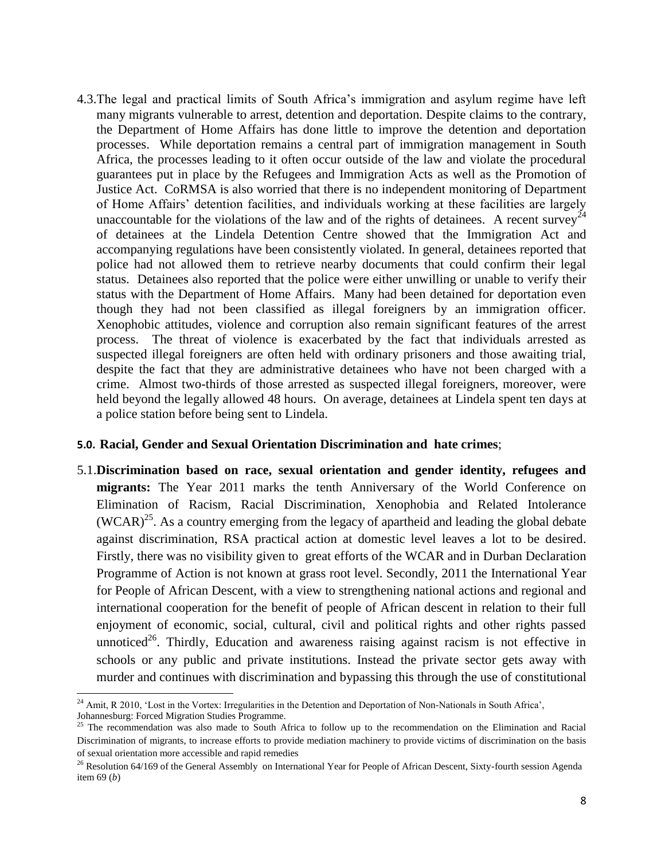4.3.The legal and practical limits of South Africa"s immigration and asylum regime have left many migrants vulnerable to arrest, detention and deportation. Despite claims to the contrary, the Department of Home Affairs has done little to improve the detention and deportation processes. While deportation remains a central part of immigration management in South Africa, the processes leading to it often occur outside of the law and violate the procedural guarantees put in place by the Refugees and Immigration Acts as well as the Promotion of Justice Act. CoRMSA is also worried that there is no independent monitoring of Department of Home Affairs" detention facilities, and individuals working at these facilities are largely unaccountable for the violations of the law and of the rights of detainees. A recent survey<sup>24</sup> of detainees at the Lindela Detention Centre showed that the Immigration Act and accompanying regulations have been consistently violated. In general, detainees reported that police had not allowed them to retrieve nearby documents that could confirm their legal status. Detainees also reported that the police were either unwilling or unable to verify their status with the Department of Home Affairs. Many had been detained for deportation even though they had not been classified as illegal foreigners by an immigration officer. Xenophobic attitudes, violence and corruption also remain significant features of the arrest process. The threat of violence is exacerbated by the fact that individuals arrested as suspected illegal foreigners are often held with ordinary prisoners and those awaiting trial, despite the fact that they are administrative detainees who have not been charged with a crime. Almost two-thirds of those arrested as suspected illegal foreigners, moreover, were held beyond the legally allowed 48 hours. On average, detainees at Lindela spent ten days at a police station before being sent to Lindela.

#### **5.0. Racial, Gender and Sexual Orientation Discrimination and hate crimes**;

5.1.**Discrimination based on race, sexual orientation and gender identity, refugees and migrants:** The Year 2011 marks the tenth Anniversary of the World Conference on Elimination of Racism, Racial Discrimination, Xenophobia and Related Intolerance (WCAR)<sup>25</sup>. As a country emerging from the legacy of apartheid and leading the global debate against discrimination, RSA practical action at domestic level leaves a lot to be desired. Firstly, there was no visibility given to great efforts of the WCAR and in Durban Declaration Programme of Action is not known at grass root level. Secondly, 2011 the International Year for People of African Descent, with a view to strengthening national actions and regional and international cooperation for the benefit of people of African descent in relation to their full enjoyment of economic, social, cultural, civil and political rights and other rights passed unnoticed<sup>26</sup>. Thirdly, Education and awareness raising against racism is not effective in schools or any public and private institutions. Instead the private sector gets away with murder and continues with discrimination and bypassing this through the use of constitutional

 $\overline{\phantom{a}}$ 

 $24$  Amit, R 2010, 'Lost in the Vortex: Irregularities in the Detention and Deportation of Non-Nationals in South Africa', Johannesburg: Forced Migration Studies Programme.

<sup>&</sup>lt;sup>25</sup> The recommendation was also made to South Africa to follow up to the recommendation on the Elimination and Racial Discrimination of migrants, to increase efforts to provide mediation machinery to provide victims of discrimination on the basis of sexual orientation more accessible and rapid remedies

 $^{26}$  Resolution 64/169 of the General Assembly on International Year for People of African Descent, Sixty-fourth session Agenda item 69 (*b*)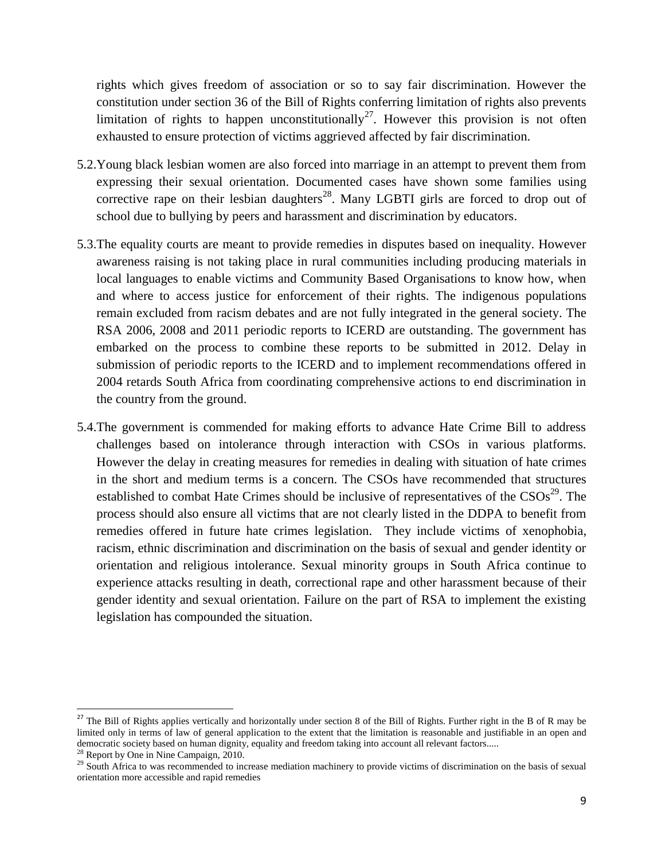rights which gives freedom of association or so to say fair discrimination. However the constitution under section 36 of the Bill of Rights conferring limitation of rights also prevents limitation of rights to happen unconstitutionally<sup>27</sup>. However this provision is not often exhausted to ensure protection of victims aggrieved affected by fair discrimination.

- 5.2.Young black lesbian women are also forced into marriage in an attempt to prevent them from expressing their sexual orientation. Documented cases have shown some families using corrective rape on their lesbian daughters<sup>28</sup>. Many LGBTI girls are forced to drop out of school due to bullying by peers and harassment and discrimination by educators.
- 5.3.The equality courts are meant to provide remedies in disputes based on inequality. However awareness raising is not taking place in rural communities including producing materials in local languages to enable victims and Community Based Organisations to know how, when and where to access justice for enforcement of their rights. The indigenous populations remain excluded from racism debates and are not fully integrated in the general society. The RSA 2006, 2008 and 2011 periodic reports to ICERD are outstanding. The government has embarked on the process to combine these reports to be submitted in 2012. Delay in submission of periodic reports to the ICERD and to implement recommendations offered in 2004 retards South Africa from coordinating comprehensive actions to end discrimination in the country from the ground.
- 5.4.The government is commended for making efforts to advance Hate Crime Bill to address challenges based on intolerance through interaction with CSOs in various platforms. However the delay in creating measures for remedies in dealing with situation of hate crimes in the short and medium terms is a concern. The CSOs have recommended that structures established to combat Hate Crimes should be inclusive of representatives of the  $CSOs<sup>29</sup>$ . The process should also ensure all victims that are not clearly listed in the DDPA to benefit from remedies offered in future hate crimes legislation. They include victims of xenophobia, racism, ethnic discrimination and discrimination on the basis of sexual and gender identity or orientation and religious intolerance. Sexual minority groups in South Africa continue to experience attacks resulting in death, correctional rape and other harassment because of their gender identity and sexual orientation. Failure on the part of RSA to implement the existing legislation has compounded the situation.

 $\overline{a}$ 

<sup>&</sup>lt;sup>27</sup> The Bill of Rights applies vertically and horizontally under section 8 of the Bill of Rights. Further right in the B of R may be limited only in terms of law of general application to the extent that the limitation is reasonable and justifiable in an open and democratic society based on human dignity, equality and freedom taking into account all relevant factors..... <sup>28</sup> Report by One in Nine Campaign, 2010.

<sup>&</sup>lt;sup>29</sup> South Africa to was recommended to increase mediation machinery to provide victims of discrimination on the basis of sexual orientation more accessible and rapid remedies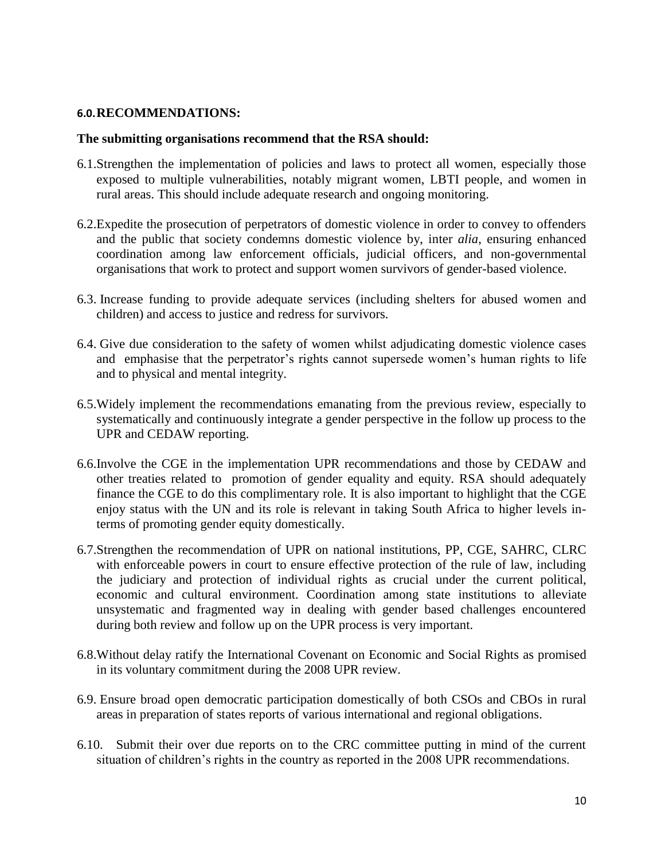### **6.0.RECOMMENDATIONS:**

### **The submitting organisations recommend that the RSA should:**

- 6.1.Strengthen the implementation of policies and laws to protect all women, especially those exposed to multiple vulnerabilities, notably migrant women, LBTI people, and women in rural areas. This should include adequate research and ongoing monitoring.
- 6.2.Expedite the prosecution of perpetrators of domestic violence in order to convey to offenders and the public that society condemns domestic violence by, inter *alia*, ensuring enhanced coordination among law enforcement officials, judicial officers, and non-governmental organisations that work to protect and support women survivors of gender-based violence.
- 6.3. Increase funding to provide adequate services (including shelters for abused women and children) and access to justice and redress for survivors.
- 6.4. Give due consideration to the safety of women whilst adjudicating domestic violence cases and emphasise that the perpetrator's rights cannot supersede women's human rights to life and to physical and mental integrity.
- 6.5.Widely implement the recommendations emanating from the previous review, especially to systematically and continuously integrate a gender perspective in the follow up process to the UPR and CEDAW reporting.
- 6.6.Involve the CGE in the implementation UPR recommendations and those by CEDAW and other treaties related to promotion of gender equality and equity. RSA should adequately finance the CGE to do this complimentary role. It is also important to highlight that the CGE enjoy status with the UN and its role is relevant in taking South Africa to higher levels interms of promoting gender equity domestically.
- 6.7.Strengthen the recommendation of UPR on national institutions, PP, CGE, SAHRC, CLRC with enforceable powers in court to ensure effective protection of the rule of law, including the judiciary and protection of individual rights as crucial under the current political, economic and cultural environment. Coordination among state institutions to alleviate unsystematic and fragmented way in dealing with gender based challenges encountered during both review and follow up on the UPR process is very important.
- 6.8.Without delay ratify the International Covenant on Economic and Social Rights as promised in its voluntary commitment during the 2008 UPR review.
- 6.9. Ensure broad open democratic participation domestically of both CSOs and CBOs in rural areas in preparation of states reports of various international and regional obligations.
- 6.10. Submit their over due reports on to the CRC committee putting in mind of the current situation of children"s rights in the country as reported in the 2008 UPR recommendations.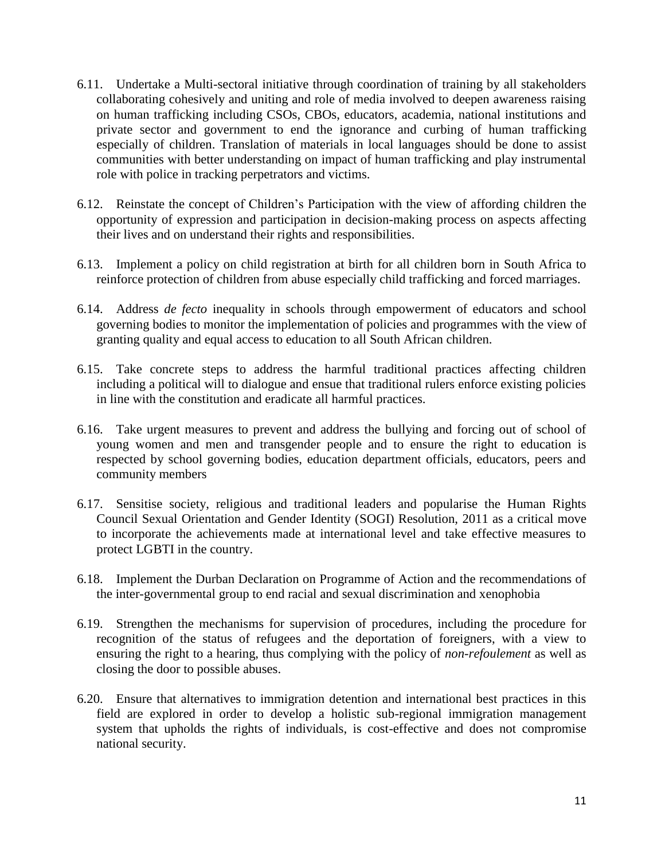- 6.11. Undertake a Multi-sectoral initiative through coordination of training by all stakeholders collaborating cohesively and uniting and role of media involved to deepen awareness raising on human trafficking including CSOs, CBOs, educators, academia, national institutions and private sector and government to end the ignorance and curbing of human trafficking especially of children. Translation of materials in local languages should be done to assist communities with better understanding on impact of human trafficking and play instrumental role with police in tracking perpetrators and victims.
- 6.12. Reinstate the concept of Children"s Participation with the view of affording children the opportunity of expression and participation in decision-making process on aspects affecting their lives and on understand their rights and responsibilities.
- 6.13. Implement a policy on child registration at birth for all children born in South Africa to reinforce protection of children from abuse especially child trafficking and forced marriages.
- 6.14. Address *de fecto* inequality in schools through empowerment of educators and school governing bodies to monitor the implementation of policies and programmes with the view of granting quality and equal access to education to all South African children.
- 6.15. Take concrete steps to address the harmful traditional practices affecting children including a political will to dialogue and ensue that traditional rulers enforce existing policies in line with the constitution and eradicate all harmful practices.
- 6.16. Take urgent measures to prevent and address the bullying and forcing out of school of young women and men and transgender people and to ensure the right to education is respected by school governing bodies, education department officials, educators, peers and community members
- 6.17. Sensitise society, religious and traditional leaders and popularise the Human Rights Council Sexual Orientation and Gender Identity (SOGI) Resolution, 2011 as a critical move to incorporate the achievements made at international level and take effective measures to protect LGBTI in the country.
- 6.18. Implement the Durban Declaration on Programme of Action and the recommendations of the inter-governmental group to end racial and sexual discrimination and xenophobia
- 6.19. Strengthen the mechanisms for supervision of procedures, including the procedure for recognition of the status of refugees and the deportation of foreigners, with a view to ensuring the right to a hearing, thus complying with the policy of *non-refoulement* as well as closing the door to possible abuses.
- 6.20. Ensure that alternatives to immigration detention and international best practices in this field are explored in order to develop a holistic sub-regional immigration management system that upholds the rights of individuals, is cost-effective and does not compromise national security.